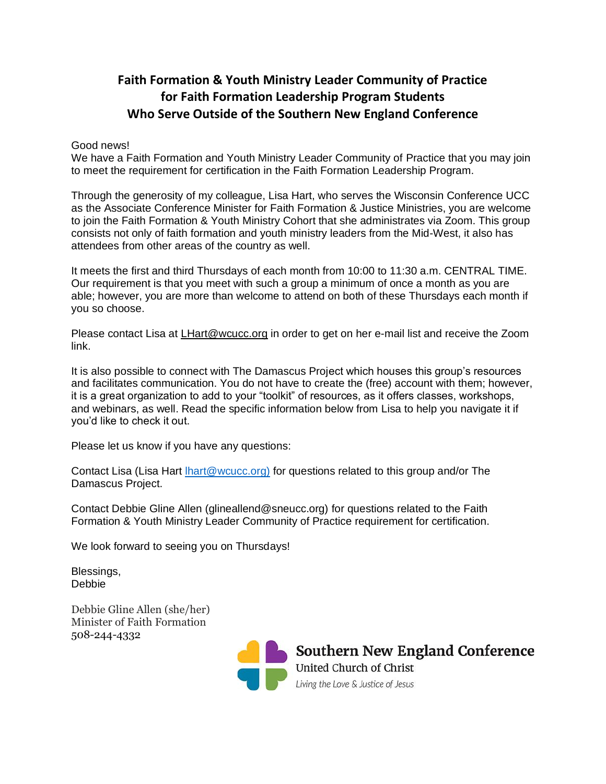## **Faith Formation & Youth Ministry Leader Community of Practice for Faith Formation Leadership Program Students Who Serve Outside of the Southern New England Conference**

## Good news!

We have a Faith Formation and Youth Ministry Leader Community of Practice that you may join to meet the requirement for certification in the Faith Formation Leadership Program.

Through the generosity of my colleague, Lisa Hart, who serves the Wisconsin Conference UCC as the Associate Conference Minister for Faith Formation & Justice Ministries, you are welcome to join the Faith Formation & Youth Ministry Cohort that she administrates via Zoom. This group consists not only of faith formation and youth ministry leaders from the Mid-West, it also has attendees from other areas of the country as well.

It meets the first and third Thursdays of each month from 10:00 to 11:30 a.m. CENTRAL TIME. Our requirement is that you meet with such a group a minimum of once a month as you are able; however, you are more than welcome to attend on both of these Thursdays each month if you so choose.

Please contact Lisa at [LHart@wcucc.org](mailto:LHart@wcucc.org) in order to get on her e-mail list and receive the Zoom link.

It is also possible to connect with The Damascus Project which houses this group's resources and facilitates communication. You do not have to create the (free) account with them; however, it is a great organization to add to your "toolkit" of resources, as it offers classes, workshops, and webinars, as well. Read the specific information below from Lisa to help you navigate it if you'd like to check it out.

Please let us know if you have any questions:

Contact Lisa (Lisa Hart [lhart@wcucc.org\)](mailto:lhart@wcucc.org)) for questions related to this group and/or The Damascus Project.

Contact Debbie Gline Allen (glineallend@sneucc.org) for questions related to the Faith Formation & Youth Ministry Leader Community of Practice requirement for certification.

We look forward to seeing you on Thursdays!

Blessings, Debbie

Debbie Gline Allen (she/her) Minister of Faith Formation 508-244-4332